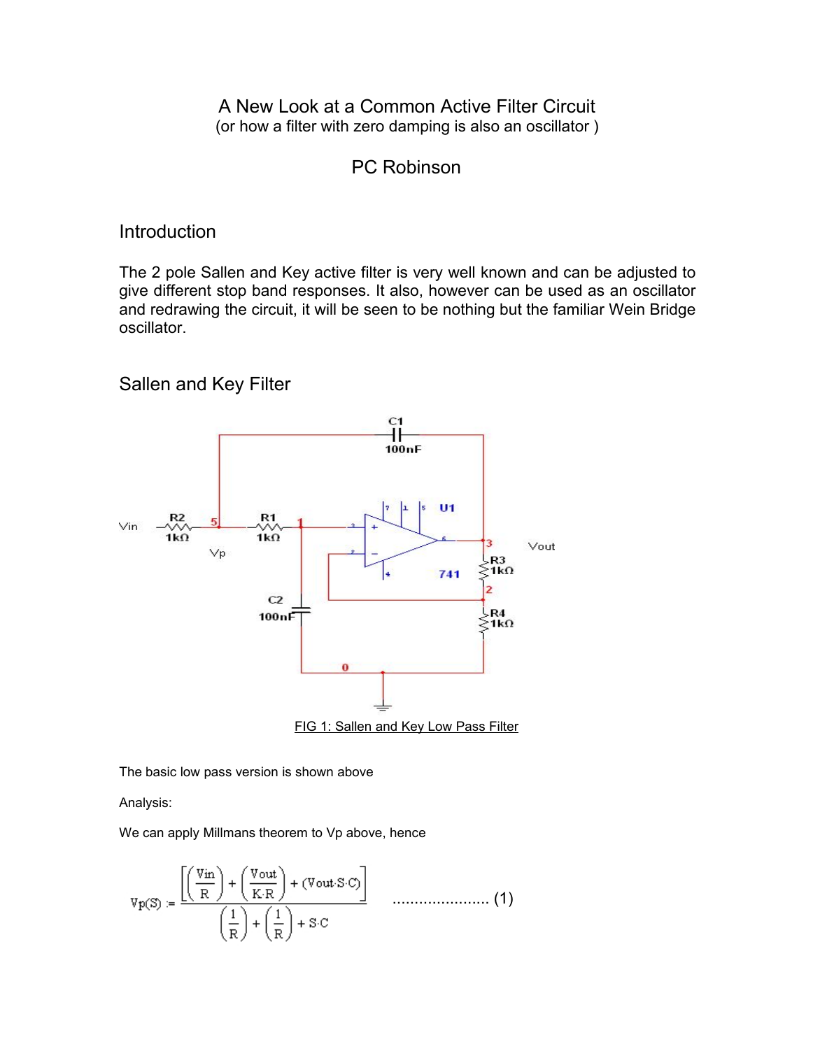A New Look at a Common Active Filter Circuit (or how a filter with zero damping is also an oscillator)

## PC Robinson

## Introduction

The 2 pole Sallen and Key active filter is very well known and can be adjusted to give different stop band responses. It also, however can be used as an oscillator and redrawing the circuit, it will be seen to be nothing but the familiar Wein Bridge oscillator.

Sallen and Key Filter



The basic low pass version is shown above

Analysis:

We can apply Millmans theorem to Vp above, hence

$$
v_{P}(S) := \frac{\left[\left(\frac{Vin}{R}\right) + \left(\frac{Vout}{K \cdot R}\right) + (Vout \cdot S \cdot C)\right]}{\left(\frac{1}{R}\right) + \left(\frac{1}{R}\right) + S \cdot C}
$$
\n(1)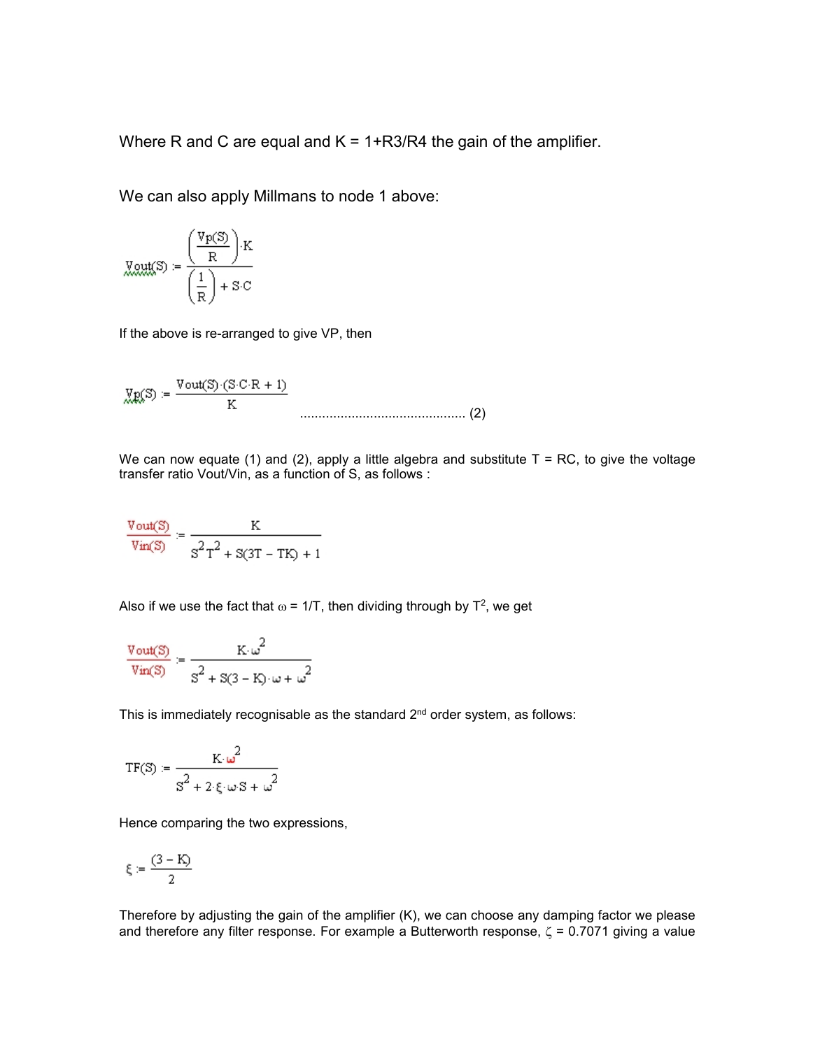Where R and C are equal and  $K = 1 + R3/R4$  the gain of the amplifier.

We can also apply Millmans to node 1 above:

$$
\underline{\text{Mult}}(S) = \frac{\left(\frac{\text{Vp}(S)}{R}\right) \cdot K}{\left(\frac{1}{R}\right) + S \cdot C}
$$

If the above is re-arranged to give VP, then

$$
\text{Wp}(S) := \frac{\text{Vout}(S) \cdot (S \cdot C \cdot R + 1)}{K}
$$

We can now equate (1) and (2), apply a little algebra and substitute  $T = RC$ , to give the voltage transfer ratio Vout/Vin, as a function of S, as follows :

$$
\frac{\text{Vout(S)}}{\text{Vin(S)}} \coloneqq \frac{K}{s^2\tau^2 + s(s\tau - T K) + 1}
$$

Also if we use the fact that  $\omega$  = 1/T, then dividing through by T<sup>2</sup>, we get

$$
\frac{\text{Vout(S)}}{\text{Vin(S)}} = \frac{K \omega^2}{s^2 + s(s - K) \omega + \omega^2}
$$

This is immediately recognisable as the standard  $2<sup>nd</sup>$  order system, as follows:

$$
\text{TF}(\mathbb{S}) := \frac{K \cdot \omega^2}{s^2 + 2 \cdot \xi \cdot \omega \cdot \mathbb{S} + \omega^2}
$$

Hence comparing the two expressions,

$$
\xi:=\frac{(3-K)}{2}
$$

Therefore by adjusting the gain of the amplifier (K), we can choose any damping factor we please and therefore any filter response. For example a Butterworth response,  $\zeta$  = 0.7071 giving a value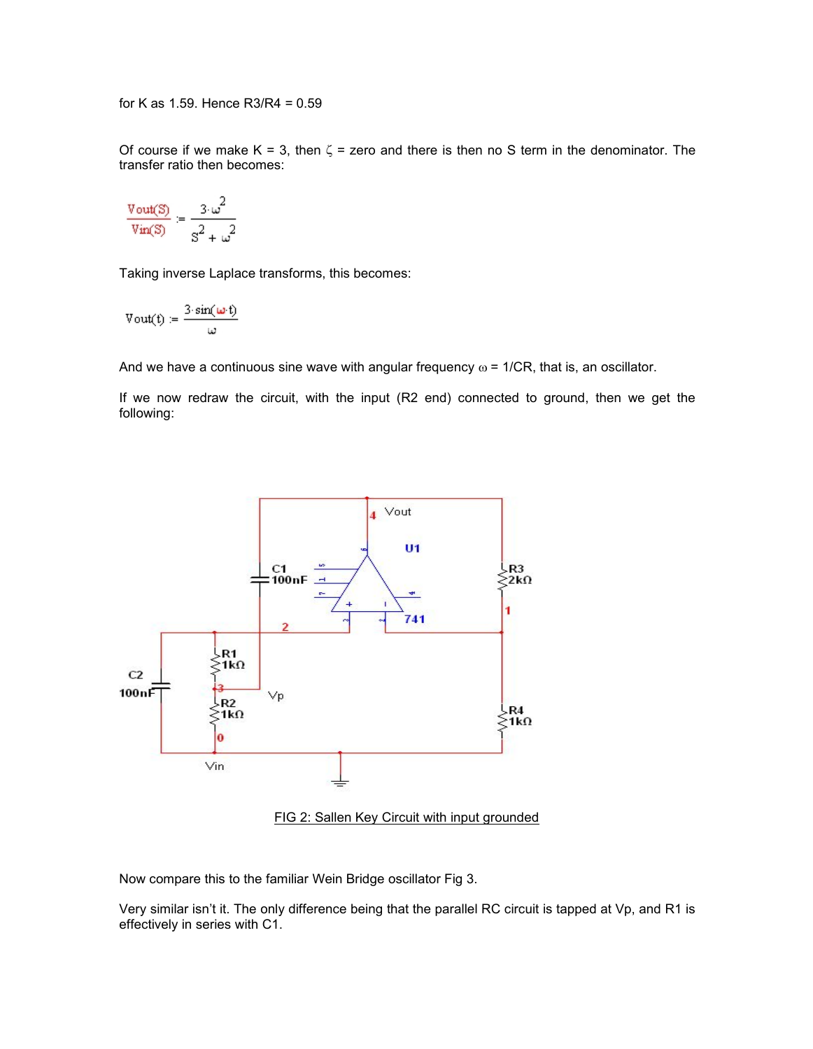for K as 1.59. Hence R3/R4 = 0.59

Of course if we make K = 3, then  $\zeta$  = zero and there is then no S term in the denominator. The transfer ratio then becomes:

$$
\frac{\text{Vout(S)}}{\text{Vin(S)}} = \frac{3 \omega^2}{s^2 + \omega^2}
$$

Taking inverse Laplace transforms, this becomes:

$$
Vout(t):=\frac{3\cdot sin(\omega\cdot t)}{\omega}
$$

And we have a continuous sine wave with angular frequency  $\omega$  = 1/CR, that is, an oscillator.

If we now redraw the circuit, with the input (R2 end) connected to ground, then we get the following:



FIG 2: Sallen Key Circuit with input grounded

Now compare this to the familiar Wein Bridge oscillator Fig 3.

Very similar isn't it. The only difference being that the parallel RC circuit is tapped at Vp, and R1 is effectively in series with C1.